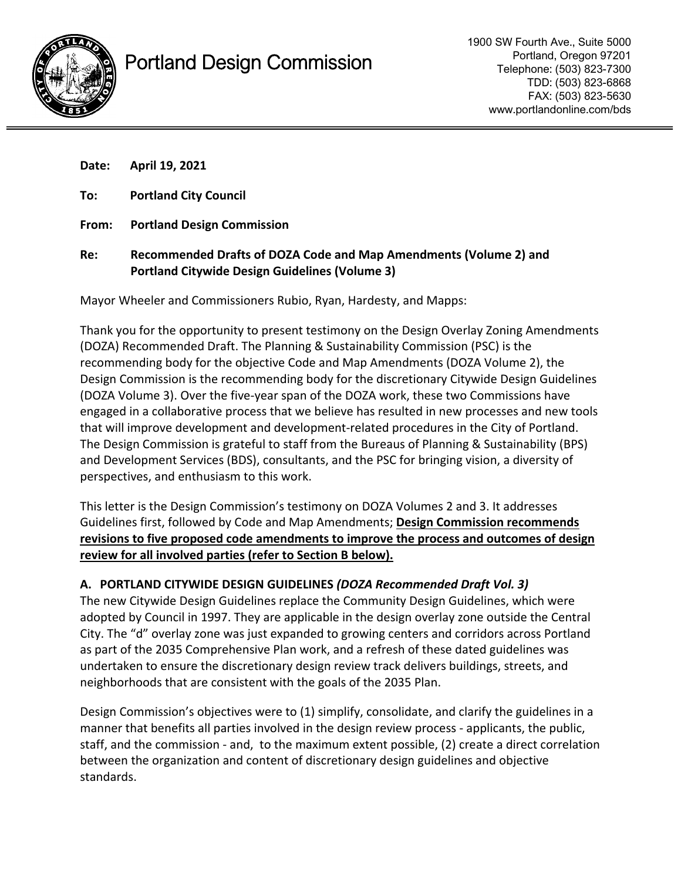



| Date: | April 19, 2021                                                                                                             |
|-------|----------------------------------------------------------------------------------------------------------------------------|
| To:   | <b>Portland City Council</b>                                                                                               |
| From: | <b>Portland Design Commission</b>                                                                                          |
| Re:   | Recommended Drafts of DOZA Code and Map Amendments (Volume 2) and<br><b>Portland Citywide Design Guidelines (Volume 3)</b> |

Mayor Wheeler and Commissioners Rubio, Ryan, Hardesty, and Mapps:

Thank you for the opportunity to present testimony on the Design Overlay Zoning Amendments (DOZA) Recommended Draft. The Planning & Sustainability Commission (PSC) is the recommending body for the objective Code and Map Amendments (DOZA Volume 2), the Design Commission is the recommending body for the discretionary Citywide Design Guidelines (DOZA Volume 3). Over the five-year span of the DOZA work, these two Commissions have engaged in a collaborative process that we believe has resulted in new processes and new tools that will improve development and development-related procedures in the City of Portland. The Design Commission is grateful to staff from the Bureaus of Planning & Sustainability (BPS) and Development Services (BDS), consultants, and the PSC for bringing vision, a diversity of perspectives, and enthusiasm to this work.

This letter is the Design Commission's testimony on DOZA Volumes 2 and 3. It addresses Guidelines first, followed by Code and Map Amendments; **Design Commission recommends revisions to five proposed code amendments to improve the process and outcomes of design review for all involved parties (refer to Section B below).** 

### **A. PORTLAND CITYWIDE DESIGN GUIDELINES** *(DOZA Recommended Draft Vol. 3)*

The new Citywide Design Guidelines replace the Community Design Guidelines, which were adopted by Council in 1997. They are applicable in the design overlay zone outside the Central City. The "d" overlay zone was just expanded to growing centers and corridors across Portland as part of the 2035 Comprehensive Plan work, and a refresh of these dated guidelines was undertaken to ensure the discretionary design review track delivers buildings, streets, and neighborhoods that are consistent with the goals of the 2035 Plan.

Design Commission's objectives were to (1) simplify, consolidate, and clarify the guidelines in a manner that benefits all parties involved in the design review process - applicants, the public, staff, and the commission - and, to the maximum extent possible, (2) create a direct correlation between the organization and content of discretionary design guidelines and objective standards.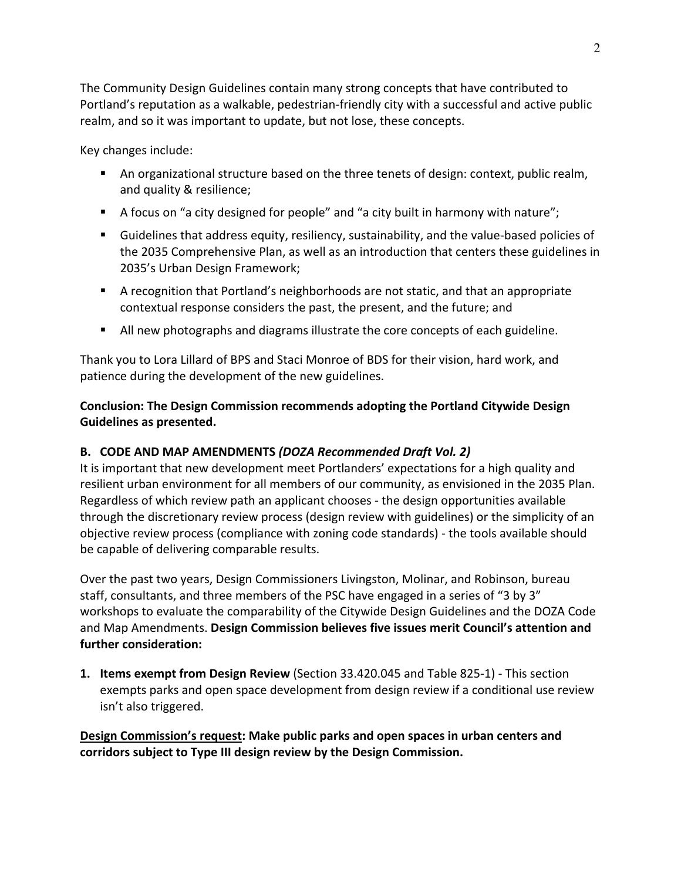The Community Design Guidelines contain many strong concepts that have contributed to Portland's reputation as a walkable, pedestrian-friendly city with a successful and active public realm, and so it was important to update, but not lose, these concepts.

Key changes include:

- An organizational structure based on the three tenets of design: context, public realm, and quality & resilience;
- A focus on "a city designed for people" and "a city built in harmony with nature";
- Guidelines that address equity, resiliency, sustainability, and the value-based policies of the 2035 Comprehensive Plan, as well as an introduction that centers these guidelines in 2035's Urban Design Framework;
- A recognition that Portland's neighborhoods are not static, and that an appropriate contextual response considers the past, the present, and the future; and
- **If** All new photographs and diagrams illustrate the core concepts of each guideline.

Thank you to Lora Lillard of BPS and Staci Monroe of BDS for their vision, hard work, and patience during the development of the new guidelines.

# **Conclusion: The Design Commission recommends adopting the Portland Citywide Design Guidelines as presented.**

### **B. CODE AND MAP AMENDMENTS** *(DOZA Recommended Draft Vol. 2)*

It is important that new development meet Portlanders' expectations for a high quality and resilient urban environment for all members of our community, as envisioned in the 2035 Plan. Regardless of which review path an applicant chooses - the design opportunities available through the discretionary review process (design review with guidelines) or the simplicity of an objective review process (compliance with zoning code standards) - the tools available should be capable of delivering comparable results.

Over the past two years, Design Commissioners Livingston, Molinar, and Robinson, bureau staff, consultants, and three members of the PSC have engaged in a series of "3 by 3" workshops to evaluate the comparability of the Citywide Design Guidelines and the DOZA Code and Map Amendments. **Design Commission believes five issues merit Council's attention and further consideration:** 

**1. Items exempt from Design Review** (Section 33.420.045 and Table 825-1) - This section exempts parks and open space development from design review if a conditional use review isn't also triggered.

**Design Commission's request: Make public parks and open spaces in urban centers and corridors subject to Type III design review by the Design Commission.**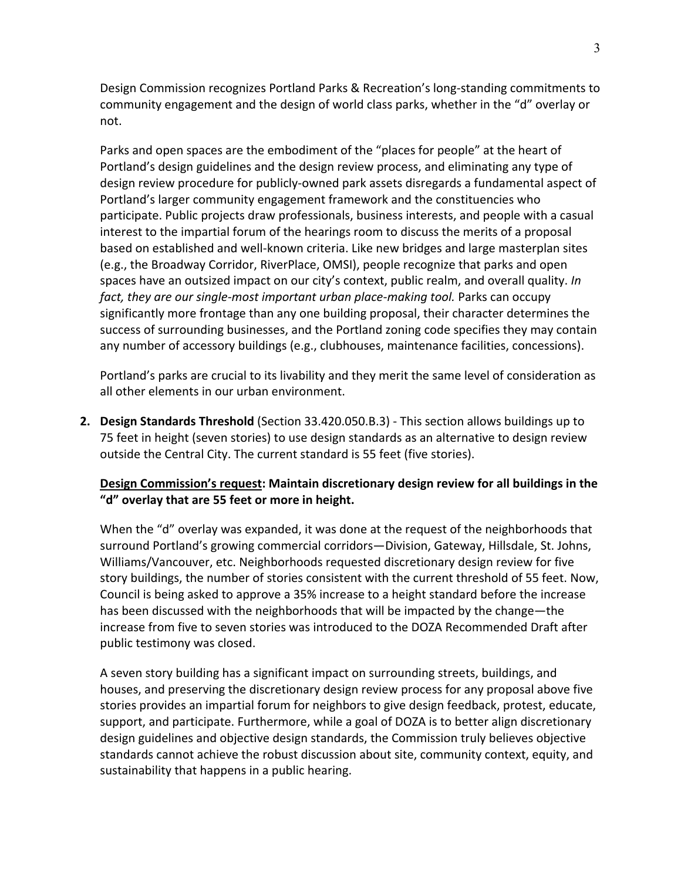Design Commission recognizes Portland Parks & Recreation's long-standing commitments to community engagement and the design of world class parks, whether in the "d" overlay or not.

Parks and open spaces are the embodiment of the "places for people" at the heart of Portland's design guidelines and the design review process, and eliminating any type of design review procedure for publicly-owned park assets disregards a fundamental aspect of Portland's larger community engagement framework and the constituencies who participate. Public projects draw professionals, business interests, and people with a casual interest to the impartial forum of the hearings room to discuss the merits of a proposal based on established and well-known criteria. Like new bridges and large masterplan sites (e.g., the Broadway Corridor, RiverPlace, OMSI), people recognize that parks and open spaces have an outsized impact on our city's context, public realm, and overall quality. *In fact, they are our single-most important urban place-making tool.* Parks can occupy significantly more frontage than any one building proposal, their character determines the success of surrounding businesses, and the Portland zoning code specifies they may contain any number of accessory buildings (e.g., clubhouses, maintenance facilities, concessions).

Portland's parks are crucial to its livability and they merit the same level of consideration as all other elements in our urban environment.

**2. Design Standards Threshold** (Section 33.420.050.B.3) - This section allows buildings up to 75 feet in height (seven stories) to use design standards as an alternative to design review outside the Central City. The current standard is 55 feet (five stories).

### **Design Commission's request: Maintain discretionary design review for all buildings in the "d" overlay that are 55 feet or more in height.**

When the "d" overlay was expanded, it was done at the request of the neighborhoods that surround Portland's growing commercial corridors—Division, Gateway, Hillsdale, St. Johns, Williams/Vancouver, etc. Neighborhoods requested discretionary design review for five story buildings, the number of stories consistent with the current threshold of 55 feet. Now, Council is being asked to approve a 35% increase to a height standard before the increase has been discussed with the neighborhoods that will be impacted by the change—the increase from five to seven stories was introduced to the DOZA Recommended Draft after public testimony was closed.

A seven story building has a significant impact on surrounding streets, buildings, and houses, and preserving the discretionary design review process for any proposal above five stories provides an impartial forum for neighbors to give design feedback, protest, educate, support, and participate. Furthermore, while a goal of DOZA is to better align discretionary design guidelines and objective design standards, the Commission truly believes objective standards cannot achieve the robust discussion about site, community context, equity, and sustainability that happens in a public hearing.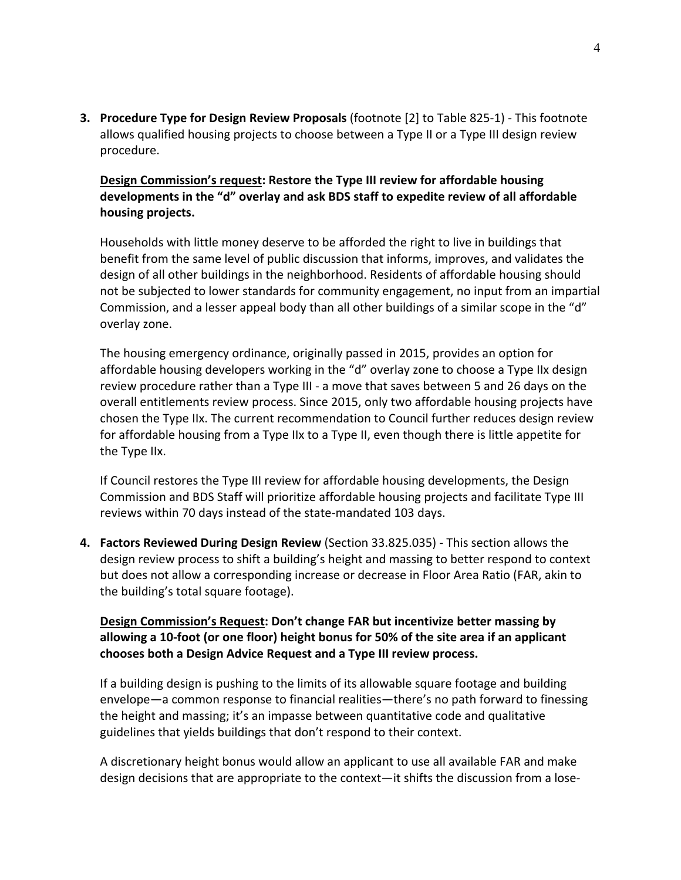**3. Procedure Type for Design Review Proposals** (footnote [2] to Table 825-1) - This footnote allows qualified housing projects to choose between a Type II or a Type III design review procedure.

**Design Commission's request: Restore the Type III review for affordable housing developments in the "d" overlay and ask BDS staff to expedite review of all affordable housing projects.**

Households with little money deserve to be afforded the right to live in buildings that benefit from the same level of public discussion that informs, improves, and validates the design of all other buildings in the neighborhood. Residents of affordable housing should not be subjected to lower standards for community engagement, no input from an impartial Commission, and a lesser appeal body than all other buildings of a similar scope in the "d" overlay zone.

The housing emergency ordinance, originally passed in 2015, provides an option for affordable housing developers working in the "d" overlay zone to choose a Type IIx design review procedure rather than a Type III - a move that saves between 5 and 26 days on the overall entitlements review process. Since 2015, only two affordable housing projects have chosen the Type IIx. The current recommendation to Council further reduces design review for affordable housing from a Type IIx to a Type II, even though there is little appetite for the Type IIx.

If Council restores the Type III review for affordable housing developments, the Design Commission and BDS Staff will prioritize affordable housing projects and facilitate Type III reviews within 70 days instead of the state-mandated 103 days.

**4. Factors Reviewed During Design Review** (Section 33.825.035) - This section allows the design review process to shift a building's height and massing to better respond to context but does not allow a corresponding increase or decrease in Floor Area Ratio (FAR, akin to the building's total square footage).

**Design Commission's Request: Don't change FAR but incentivize better massing by allowing a 10-foot (or one floor) height bonus for 50% of the site area if an applicant chooses both a Design Advice Request and a Type III review process.** 

If a building design is pushing to the limits of its allowable square footage and building envelope—a common response to financial realities—there's no path forward to finessing the height and massing; it's an impasse between quantitative code and qualitative guidelines that yields buildings that don't respond to their context.

A discretionary height bonus would allow an applicant to use all available FAR and make design decisions that are appropriate to the context—it shifts the discussion from a lose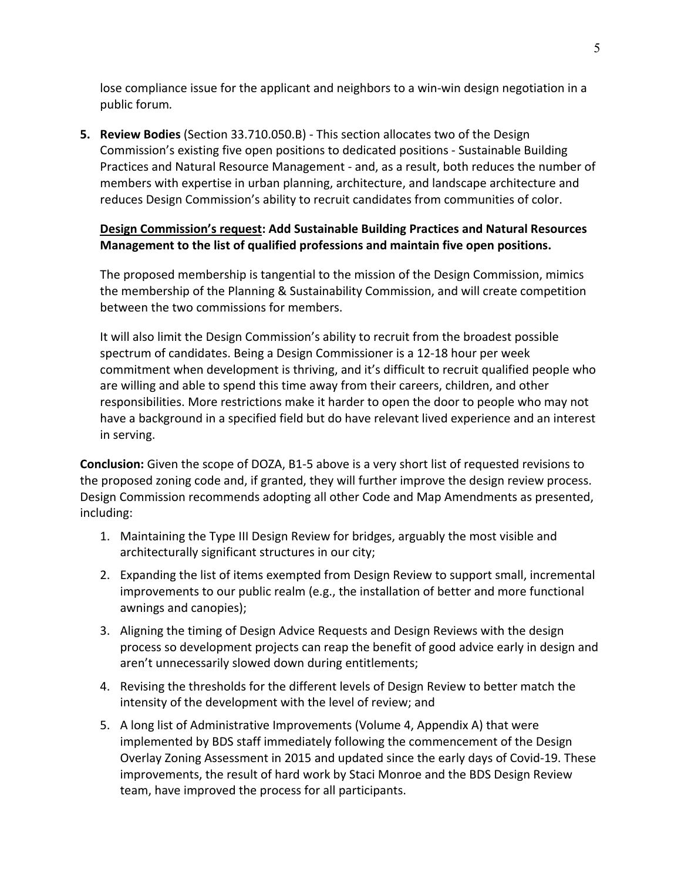lose compliance issue for the applicant and neighbors to a win-win design negotiation in a public forum*.* 

**5. Review Bodies** (Section 33.710.050.B) - This section allocates two of the Design Commission's existing five open positions to dedicated positions - Sustainable Building Practices and Natural Resource Management - and, as a result, both reduces the number of members with expertise in urban planning, architecture, and landscape architecture and reduces Design Commission's ability to recruit candidates from communities of color.

## **Design Commission's request: Add Sustainable Building Practices and Natural Resources Management to the list of qualified professions and maintain five open positions.**

The proposed membership is tangential to the mission of the Design Commission, mimics the membership of the Planning & Sustainability Commission, and will create competition between the two commissions for members.

It will also limit the Design Commission's ability to recruit from the broadest possible spectrum of candidates. Being a Design Commissioner is a 12-18 hour per week commitment when development is thriving, and it's difficult to recruit qualified people who are willing and able to spend this time away from their careers, children, and other responsibilities. More restrictions make it harder to open the door to people who may not have a background in a specified field but do have relevant lived experience and an interest in serving.

**Conclusion:** Given the scope of DOZA, B1-5 above is a very short list of requested revisions to the proposed zoning code and, if granted, they will further improve the design review process. Design Commission recommends adopting all other Code and Map Amendments as presented, including:

- 1. Maintaining the Type III Design Review for bridges, arguably the most visible and architecturally significant structures in our city;
- 2. Expanding the list of items exempted from Design Review to support small, incremental improvements to our public realm (e.g., the installation of better and more functional awnings and canopies);
- 3. Aligning the timing of Design Advice Requests and Design Reviews with the design process so development projects can reap the benefit of good advice early in design and aren't unnecessarily slowed down during entitlements;
- 4. Revising the thresholds for the different levels of Design Review to better match the intensity of the development with the level of review; and
- 5. A long list of Administrative Improvements (Volume 4, Appendix A) that were implemented by BDS staff immediately following the commencement of the Design Overlay Zoning Assessment in 2015 and updated since the early days of Covid-19. These improvements, the result of hard work by Staci Monroe and the BDS Design Review team, have improved the process for all participants.